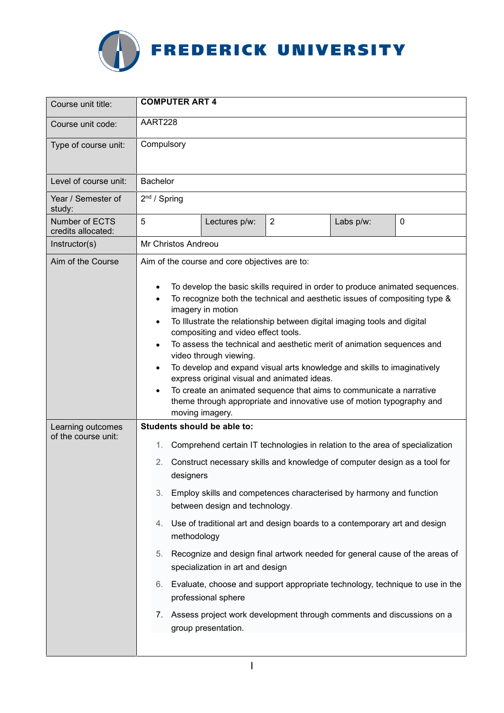

| Course unit title:                       | <b>COMPUTER ART 4</b>                                                                                                                                                                                                                                                                                                                                                                                                                                                                                                                                                                                                                                                                                                                                                    |  |  |
|------------------------------------------|--------------------------------------------------------------------------------------------------------------------------------------------------------------------------------------------------------------------------------------------------------------------------------------------------------------------------------------------------------------------------------------------------------------------------------------------------------------------------------------------------------------------------------------------------------------------------------------------------------------------------------------------------------------------------------------------------------------------------------------------------------------------------|--|--|
| Course unit code:                        | AART228                                                                                                                                                                                                                                                                                                                                                                                                                                                                                                                                                                                                                                                                                                                                                                  |  |  |
| Type of course unit:                     | Compulsory                                                                                                                                                                                                                                                                                                                                                                                                                                                                                                                                                                                                                                                                                                                                                               |  |  |
| Level of course unit:                    | <b>Bachelor</b>                                                                                                                                                                                                                                                                                                                                                                                                                                                                                                                                                                                                                                                                                                                                                          |  |  |
| Year / Semester of<br>study:             | $2nd$ / Spring                                                                                                                                                                                                                                                                                                                                                                                                                                                                                                                                                                                                                                                                                                                                                           |  |  |
| Number of ECTS<br>credits allocated:     | 5<br>$\overline{2}$<br>Lectures p/w:<br>Labs p/w:<br>0                                                                                                                                                                                                                                                                                                                                                                                                                                                                                                                                                                                                                                                                                                                   |  |  |
| Instructor(s)                            | Mr Christos Andreou                                                                                                                                                                                                                                                                                                                                                                                                                                                                                                                                                                                                                                                                                                                                                      |  |  |
| Aim of the Course                        | Aim of the course and core objectives are to:<br>To develop the basic skills required in order to produce animated sequences.<br>To recognize both the technical and aesthetic issues of compositing type &<br>imagery in motion<br>To Illustrate the relationship between digital imaging tools and digital<br>compositing and video effect tools.<br>To assess the technical and aesthetic merit of animation sequences and<br>video through viewing.<br>To develop and expand visual arts knowledge and skills to imaginatively<br>express original visual and animated ideas.<br>To create an animated sequence that aims to communicate a narrative<br>theme through appropriate and innovative use of motion typography and<br>moving imagery.                     |  |  |
| Learning outcomes<br>of the course unit: | Students should be able to:<br>Comprehend certain IT technologies in relation to the area of specialization<br>1.<br>Construct necessary skills and knowledge of computer design as a tool for<br>2.<br>designers<br>Employ skills and competences characterised by harmony and function<br>3.<br>between design and technology.<br>Use of traditional art and design boards to a contemporary art and design<br>4.<br>methodology<br>Recognize and design final artwork needed for general cause of the areas of<br>5.<br>specialization in art and design<br>6. Evaluate, choose and support appropriate technology, technique to use in the<br>professional sphere<br>7. Assess project work development through comments and discussions on a<br>group presentation. |  |  |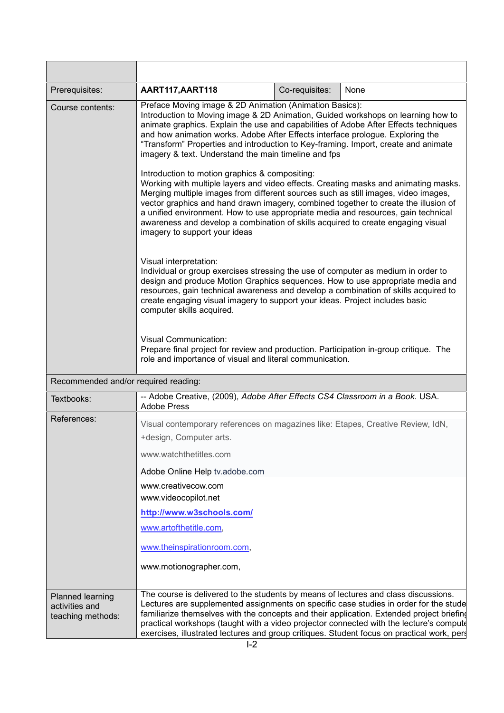| Prerequisites:                                          | AART117, AART118                                                                                                                                                                                                                                                                                                                                                                                                                                                                                                                                                                                                                                                                                   | Co-requisites: | None |  |
|---------------------------------------------------------|----------------------------------------------------------------------------------------------------------------------------------------------------------------------------------------------------------------------------------------------------------------------------------------------------------------------------------------------------------------------------------------------------------------------------------------------------------------------------------------------------------------------------------------------------------------------------------------------------------------------------------------------------------------------------------------------------|----------------|------|--|
| Course contents:                                        | Preface Moving image & 2D Animation (Animation Basics):<br>Introduction to Moving image & 2D Animation, Guided workshops on learning how to<br>animate graphics. Explain the use and capabilities of Adobe After Effects techniques<br>and how animation works. Adobe After Effects interface prologue. Exploring the<br>"Transform" Properties and introduction to Key-framing. Import, create and animate<br>imagery & text. Understand the main timeline and fps<br>Introduction to motion graphics & compositing:<br>Working with multiple layers and video effects. Creating masks and animating masks.<br>Merging multiple images from different sources such as still images, video images, |                |      |  |
|                                                         | vector graphics and hand drawn imagery, combined together to create the illusion of<br>a unified environment. How to use appropriate media and resources, gain technical<br>awareness and develop a combination of skills acquired to create engaging visual<br>imagery to support your ideas                                                                                                                                                                                                                                                                                                                                                                                                      |                |      |  |
|                                                         | Visual interpretation:<br>Individual or group exercises stressing the use of computer as medium in order to<br>design and produce Motion Graphics sequences. How to use appropriate media and<br>resources, gain technical awareness and develop a combination of skills acquired to<br>create engaging visual imagery to support your ideas. Project includes basic<br>computer skills acquired.                                                                                                                                                                                                                                                                                                  |                |      |  |
|                                                         | <b>Visual Communication:</b><br>Prepare final project for review and production. Participation in-group critique. The<br>role and importance of visual and literal communication.                                                                                                                                                                                                                                                                                                                                                                                                                                                                                                                  |                |      |  |
| Recommended and/or required reading:                    |                                                                                                                                                                                                                                                                                                                                                                                                                                                                                                                                                                                                                                                                                                    |                |      |  |
| Textbooks:                                              | -- Adobe Creative, (2009), Adobe After Effects CS4 Classroom in a Book. USA.<br><b>Adobe Press</b>                                                                                                                                                                                                                                                                                                                                                                                                                                                                                                                                                                                                 |                |      |  |
| References:                                             | Visual contemporary references on magazines like: Etapes, Creative Review, IdN,<br>+design, Computer arts.                                                                                                                                                                                                                                                                                                                                                                                                                                                                                                                                                                                         |                |      |  |
|                                                         | www.watchthetitles.com                                                                                                                                                                                                                                                                                                                                                                                                                                                                                                                                                                                                                                                                             |                |      |  |
|                                                         | Adobe Online Help tv.adobe.com                                                                                                                                                                                                                                                                                                                                                                                                                                                                                                                                                                                                                                                                     |                |      |  |
|                                                         | www.creativecow.com<br>www.videocopilot.net                                                                                                                                                                                                                                                                                                                                                                                                                                                                                                                                                                                                                                                        |                |      |  |
|                                                         | http://www.w3schools.com/                                                                                                                                                                                                                                                                                                                                                                                                                                                                                                                                                                                                                                                                          |                |      |  |
|                                                         | www.artofthetitle.com,                                                                                                                                                                                                                                                                                                                                                                                                                                                                                                                                                                                                                                                                             |                |      |  |
|                                                         | www.theinspirationroom.com,                                                                                                                                                                                                                                                                                                                                                                                                                                                                                                                                                                                                                                                                        |                |      |  |
|                                                         | www.motionographer.com,                                                                                                                                                                                                                                                                                                                                                                                                                                                                                                                                                                                                                                                                            |                |      |  |
| Planned learning<br>activities and<br>teaching methods: | The course is delivered to the students by means of lectures and class discussions.<br>Lectures are supplemented assignments on specific case studies in order for the stude<br>familiarize themselves with the concepts and their application. Extended project briefing<br>practical workshops (taught with a video projector connected with the lecture's compute<br>exercises, illustrated lectures and group critiques. Student focus on practical work, pers                                                                                                                                                                                                                                 |                |      |  |